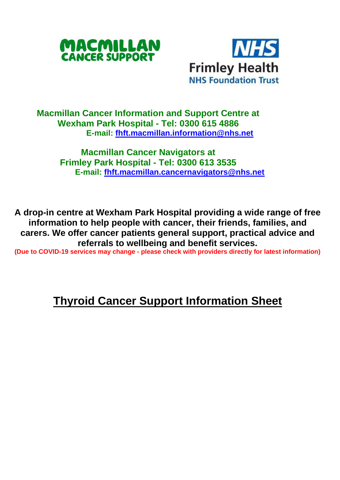



## **Macmillan Cancer Information and Support Centre at Wexham Park Hospital - Tel: 0300 615 4886 E-mail: [fhft.macmillan.information@nhs.net](mailto:fhft.macmillan.information@nhs.net)**

**Macmillan Cancer Navigators at Frimley Park Hospital - Tel: 0300 613 3535 E-mail: [fhft.macmillan.cancernavigators@nhs.net](mailto:fhft.macmillan.cancernavigators@nhs.net)**

**A drop-in centre at Wexham Park Hospital providing a wide range of free information to help people with cancer, their friends, families, and carers. We offer cancer patients general support, practical advice and referrals to wellbeing and benefit services.**

**(Due to COVID-19 services may change - please check with providers directly for latest information)**

## **Thyroid Cancer Support Information Sheet**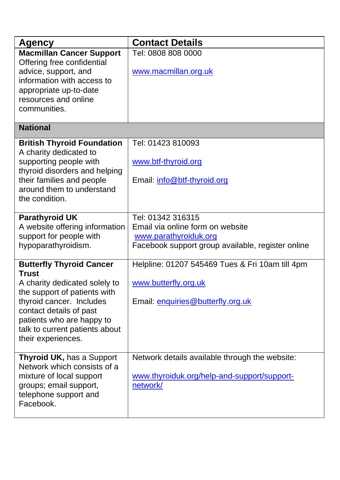| <b>Agency</b>                                                 | <b>Contact Details</b>                            |
|---------------------------------------------------------------|---------------------------------------------------|
| <b>Macmillan Cancer Support</b><br>Offering free confidential | Tel: 0808 808 0000                                |
| advice, support, and                                          | www.macmillan.org.uk                              |
| information with access to                                    |                                                   |
| appropriate up-to-date<br>resources and online                |                                                   |
| communities.                                                  |                                                   |
|                                                               |                                                   |
| <b>National</b>                                               |                                                   |
| <b>British Thyroid Foundation</b>                             | Tel: 01423 810093                                 |
| A charity dedicated to<br>supporting people with              | www.btf-thyroid.org                               |
| thyroid disorders and helping                                 |                                                   |
| their families and people                                     | Email: info@btf-thyroid.org                       |
| around them to understand                                     |                                                   |
| the condition.                                                |                                                   |
| <b>Parathyroid UK</b>                                         | Tel: 01342 316315                                 |
| A website offering information                                | Email via online form on website                  |
| support for people with                                       | www.parathyroiduk.org                             |
| hypoparathyroidism.                                           | Facebook support group available, register online |
| <b>Butterfly Thyroid Cancer</b><br><b>Trust</b>               | Helpline: 01207 545469 Tues & Fri 10am till 4pm   |
| A charity dedicated solely to                                 | www.butterfly.org.uk                              |
| the support of patients with                                  |                                                   |
| thyroid cancer. Includes                                      | Email: enquiries@butterfly.org.uk                 |
| contact details of past                                       |                                                   |
| patients who are happy to<br>talk to current patients about   |                                                   |
| their experiences.                                            |                                                   |
|                                                               |                                                   |
| Thyroid UK, has a Support                                     | Network details available through the website:    |
| Network which consists of a<br>mixture of local support       | www.thyroiduk.org/help-and-support/support-       |
| groups; email support,                                        | network/                                          |
| telephone support and                                         |                                                   |
| Facebook.                                                     |                                                   |
|                                                               |                                                   |